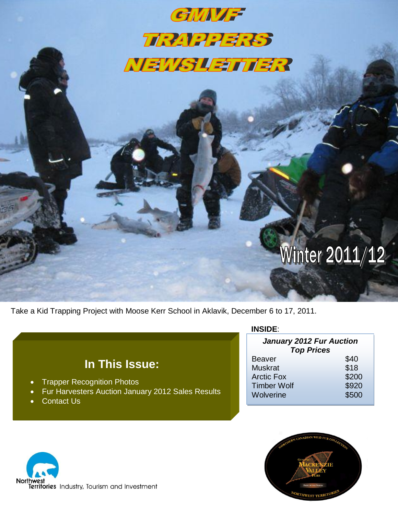## GMMF **TRAPPERS** NEWSLETTER

# Winter 2011/12

Take a Kid Trapping Project with Moose Kerr School in Aklavik, December 6 to 17, 2011.

## **In This Issue:**

- Trapper Recognition Photos
- Fur Harvesters Auction January 2012 Sales Results
- Contact Us

#### **INSIDE**:

| <b>January 2012 Fur Auction</b><br><b>Top Prices</b> |       |  |  |  |
|------------------------------------------------------|-------|--|--|--|
| <b>Beaver</b>                                        | \$40  |  |  |  |
| <b>Muskrat</b>                                       | \$18  |  |  |  |
| <b>Arctic Fox</b>                                    | \$200 |  |  |  |
| <b>Timber Wolf</b>                                   | \$920 |  |  |  |
| Wolverine                                            | \$500 |  |  |  |



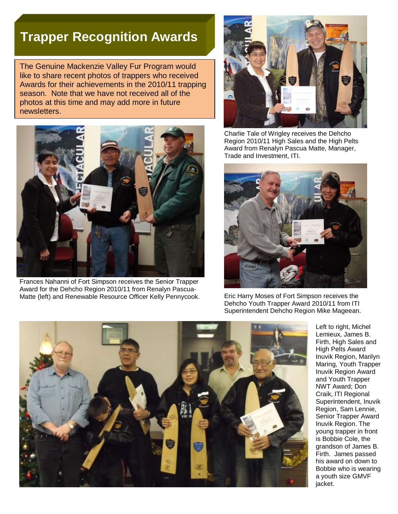## **Trapper Recognition Awards**

The Genuine Mackenzie Valley Fur Program would like to share recent photos of trappers who received Awards for their achievements in the 2010/11 trapping season. Note that we have not received all of the photos at this time and may add more in future newsletters.



Frances Nahanni of Fort Simpson receives the Senior Trapper Award for the Dehcho Region 2010/11 from Renalyn Pascua-Matte (left) and Renewable Resource Officer Kelly Pennycook. Eric Harry Moses of Fort Simpson receives the



Charlie Tale of Wrigley receives the Dehcho Region 2010/11 High Sales and the High Pelts Award from Renalyn Pascua Matte, Manager, Trade and Investment, ITI.



Dehcho Youth Trapper Award 2010/11 from ITI Superintendent Dehcho Region Mike Mageean.



Left to right, Michel Lemieux, James B. Firth, High Sales and High Pelts Award Inuvik Region, Marilyn Maring, Youth Trapper Inuvik Region Award and Youth Trapper NWT Award; Don Craik, ITI Regional Superintendent, Inuvik Region, Sam Lennie, Senior Trapper Award Inuvik Region. The young trapper in front is Bobbie Cole, the grandson of James B. Firth. James passed his award on down to Bobbie who is wearing a youth size GMVF jacket.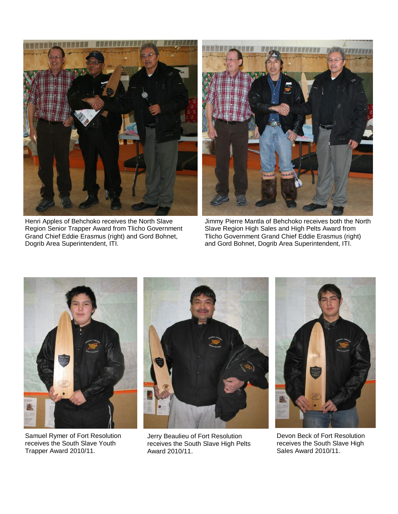

Henri Apples of Behchoko receives the North Slave Region Senior Trapper Award from Tlicho Government Grand Chief Eddie Erasmus (right) and Gord Bohnet, Dogrib Area Superintendent, ITI.



Jimmy Pierre Mantla of Behchoko receives both the North Slave Region High Sales and High Pelts Award from Tlicho Government Grand Chief Eddie Erasmus (right) and Gord Bohnet, Dogrib Area Superintendent, ITI.



Samuel Rymer of Fort Resolution receives the South Slave Youth Trapper Award 2010/11.



Jerry Beaulieu of Fort Resolution receives the South Slave High Pelts Award 2010/11.



Devon Beck of Fort Resolution receives the South Slave High Sales Award 2010/11.